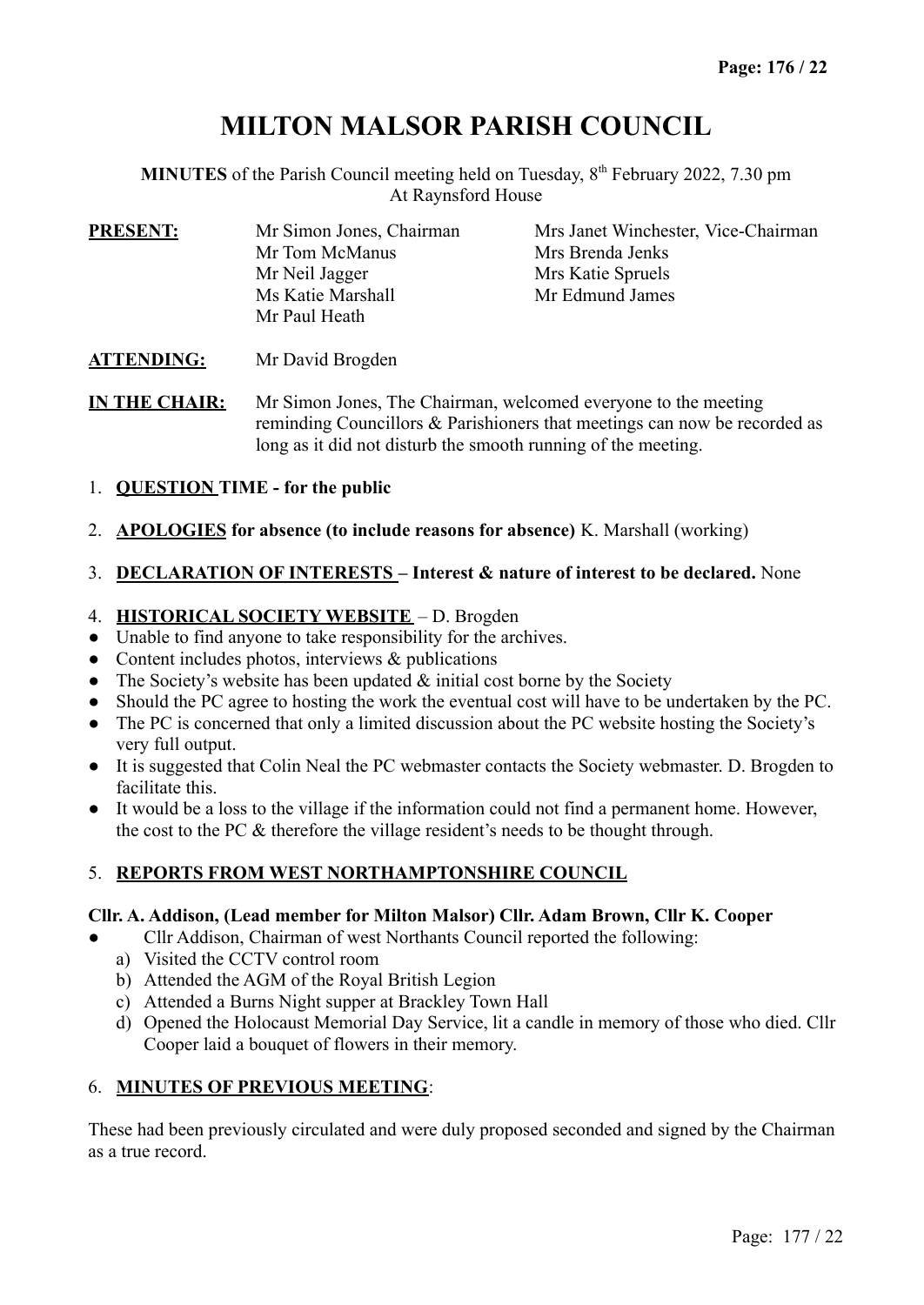# **MILTON MALSOR PARISH COUNCIL**

**MINUTES** of the Parish Council meeting held on Tuesday, 8<sup>th</sup> February 2022, 7.30 pm At Raynsford House

| <b>PRESENT:</b> | Mr Simon Jones, Chairman           | Mrs Janet Winchester, Vice-Chairman |  |  |
|-----------------|------------------------------------|-------------------------------------|--|--|
|                 | Mr Tom McManus                     | Mrs Brenda Jenks                    |  |  |
|                 | Mr Neil Jagger                     | Mrs Katie Spruels                   |  |  |
|                 | Ms Katie Marshall<br>Mr Paul Heath | Mr Edmund James                     |  |  |
|                 |                                    |                                     |  |  |

**ATTENDING:** Mr David Brogden

**IN THE CHAIR:** Mr Simon Jones, The Chairman, welcomed everyone to the meeting reminding Councillors & Parishioners that meetings can now be recorded as long as it did not disturb the smooth running of the meeting.

- 1. **QUESTION TIME for the public**
- 2. **APOLOGIES for absence (to include reasons for absence)** K. Marshall (working)
- 3. **DECLARATION OF INTERESTS Interest & nature of interest to be declared.** None

#### 4. **HISTORICAL SOCIETY WEBSITE** – D. Brogden

- Unable to find anyone to take responsibility for the archives.
- Content includes photos, interviews  $\&$  publications
- The Society's website has been updated  $&$  initial cost borne by the Society
- Should the PC agree to hosting the work the eventual cost will have to be undertaken by the PC.
- The PC is concerned that only a limited discussion about the PC website hosting the Society's very full output.
- It is suggested that Colin Neal the PC webmaster contacts the Society webmaster. D. Brogden to facilitate this.
- It would be a loss to the village if the information could not find a permanent home. However, the cost to the PC & therefore the village resident's needs to be thought through.

### 5. **REPORTS FROM WEST NORTHAMPTONSHIRE COUNCIL**

#### **Cllr. A. Addison, (Lead member for Milton Malsor) Cllr. Adam Brown, Cllr K. Cooper**

- Cllr Addison, Chairman of west Northants Council reported the following:
	- a) Visited the CCTV control room
	- b) Attended the AGM of the Royal British Legion
	- c) Attended a Burns Night supper at Brackley Town Hall
	- d) Opened the Holocaust Memorial Day Service, lit a candle in memory of those who died. Cllr Cooper laid a bouquet of flowers in their memory.

#### 6. **MINUTES OF PREVIOUS MEETING**:

These had been previously circulated and were duly proposed seconded and signed by the Chairman as a true record.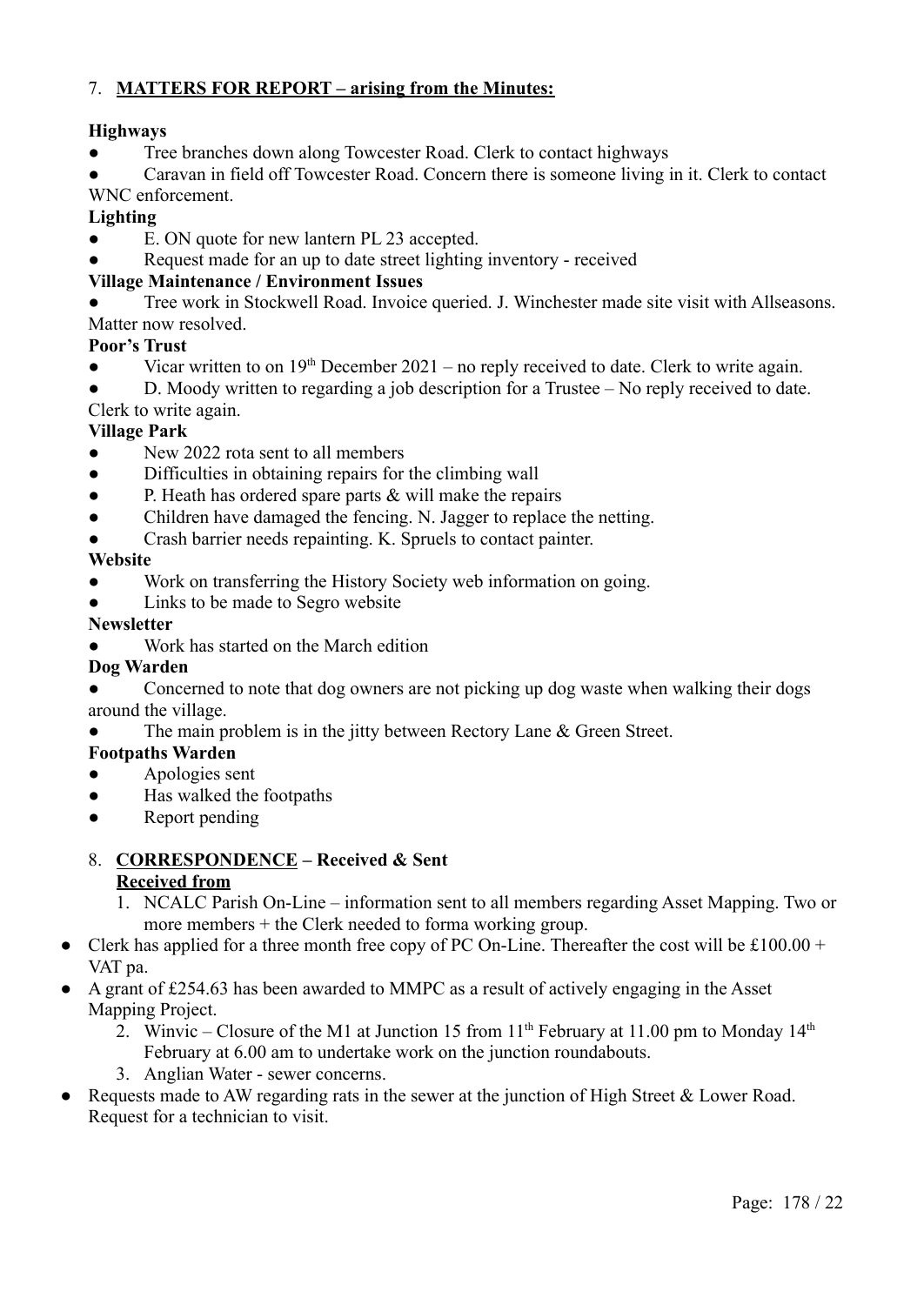# 7. **MATTERS FOR REPORT – arising from the Minutes:**

# **Highways**

• Tree branches down along Towcester Road. Clerk to contact highways

Caravan in field off Towcester Road. Concern there is someone living in it. Clerk to contact WNC enforcement.

# **Lighting**

- E. ON quote for new lantern PL 23 accepted.
- Request made for an up to date street lighting inventory received

## **Village Maintenance / Environment Issues**

● Tree work in Stockwell Road. Invoice queried. J. Winchester made site visit with Allseasons. Matter now resolved.

# **Poor's Trust**

- Vicar written to on  $19<sup>th</sup>$  December 2021 no reply received to date. Clerk to write again.
- $D.$  Moody written to regarding a job description for a Trustee No reply received to date. Clerk to write again.

# **Village Park**

- New 2022 rota sent to all members
- Difficulties in obtaining repairs for the climbing wall
- P. Heath has ordered spare parts & will make the repairs
- Children have damaged the fencing. N. Jagger to replace the netting.
- Crash barrier needs repainting. K. Spruels to contact painter.

#### **Website**

- Work on transferring the History Society web information on going.
- Links to be made to Segro website

#### **Newsletter**

● Work has started on the March edition

### **Dog Warden**

• Concerned to note that dog owners are not picking up dog waste when walking their dogs around the village.

The main problem is in the jitty between Rectory Lane  $&$  Green Street.

### **Footpaths Warden**

- Apologies sent
- Has walked the footpaths
- Report pending
- 8. **CORRESPONDENCE Received & Sent Received from**
	- 1. NCALC Parish On-Line information sent to all members regarding Asset Mapping. Two or more members + the Clerk needed to forma working group.
- Clerk has applied for a three month free copy of PC On-Line. Thereafter the cost will be  $\text{\pounds}100.00 +$ VAT pa.
- A grant of £254.63 has been awarded to MMPC as a result of actively engaging in the Asset Mapping Project.
	- 2. Winvic Closure of the M1 at Junction 15 from  $11<sup>th</sup>$  February at 11.00 pm to Monday  $14<sup>th</sup>$ February at 6.00 am to undertake work on the junction roundabouts.
	- 3. Anglian Water sewer concerns.
- Requests made to AW regarding rats in the sewer at the junction of High Street & Lower Road. Request for a technician to visit.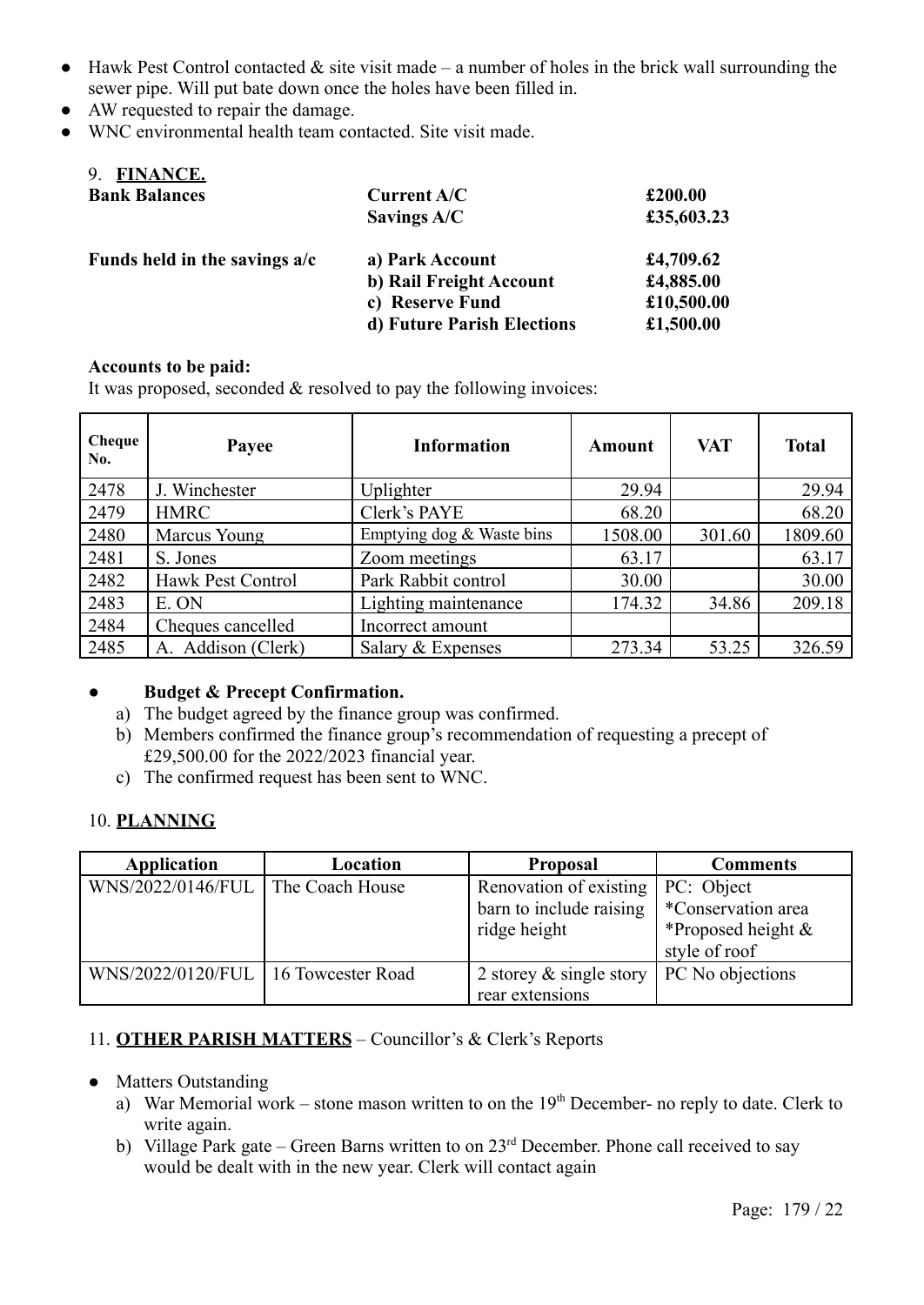- $\bullet$  Hawk Pest Control contacted & site visit made a number of holes in the brick wall surrounding the sewer pipe. Will put bate down once the holes have been filled in.
- AW requested to repair the damage.
- WNC environmental health team contacted. Site visit made.

| 9.<br><b>FINANCE.</b>         |                            |            |
|-------------------------------|----------------------------|------------|
| <b>Bank Balances</b>          | Current A/C                | £200.00    |
|                               | Savings A/C                | £35,603.23 |
| Funds held in the savings a/c | a) Park Account            | £4,709.62  |
|                               | b) Rail Freight Account    | £4,885.00  |
|                               | c) Reserve Fund            | £10,500.00 |
|                               | d) Future Parish Elections | £1,500.00  |

#### **Accounts to be paid:**

It was proposed, seconded & resolved to pay the following invoices:

| Cheque<br>No. | Payee              | <b>Information</b>        | Amount  | <b>VAT</b> | <b>Total</b> |
|---------------|--------------------|---------------------------|---------|------------|--------------|
| 2478          | J. Winchester      | Uplighter                 | 29.94   |            | 29.94        |
| 2479          | <b>HMRC</b>        | Clerk's PAYE              | 68.20   |            | 68.20        |
| 2480          | Marcus Young       | Emptying dog & Waste bins | 1508.00 | 301.60     | 1809.60      |
| 2481          | S. Jones           | Zoom meetings             | 63.17   |            | 63.17        |
| 2482          | Hawk Pest Control  | Park Rabbit control       | 30.00   |            | 30.00        |
| 2483          | E. ON              | Lighting maintenance      | 174.32  | 34.86      | 209.18       |
| 2484          | Cheques cancelled  | Incorrect amount          |         |            |              |
| 2485          | A. Addison (Clerk) | Salary & Expenses         | 273.34  | 53.25      | 326.59       |

#### **Budget & Precept Confirmation.**

- a) The budget agreed by the finance group was confirmed.
- b) Members confirmed the finance group's recommendation of requesting a precept of £29,500.00 for the 2022/2023 financial year.
- c) The confirmed request has been sent to WNC.

### 10. **PLANNING**

| Application                           | Location        | <b>Proposal</b>            | <b>Comments</b>    |
|---------------------------------------|-----------------|----------------------------|--------------------|
| WNS/2022/0146/FUL                     | The Coach House | Renovation of existing     | PC: Object         |
|                                       |                 | barn to include raising    | *Conservation area |
|                                       |                 | ridge height               | *Proposed height & |
|                                       |                 |                            | style of roof      |
| WNS/2022/0120/FUL   16 Towcester Road |                 | 2 storey $\&$ single story | PC No objections   |
|                                       |                 | rear extensions            |                    |

# 11. **OTHER PARISH MATTERS** – Councillor's & Clerk's Reports

#### ● Matters Outstanding

- a) War Memorial work stone mason written to on the  $19<sup>th</sup>$  December- no reply to date. Clerk to write again.
- b) Village Park gate Green Barns written to on  $23<sup>rd</sup>$  December. Phone call received to say would be dealt with in the new year. Clerk will contact again